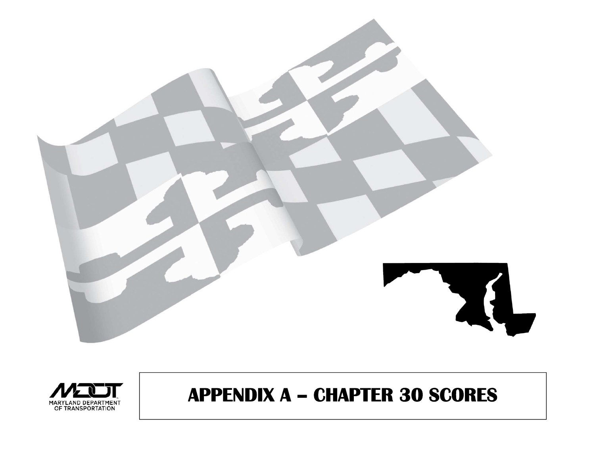



## **APPENDIX A - CHAPTER 30 SCORES**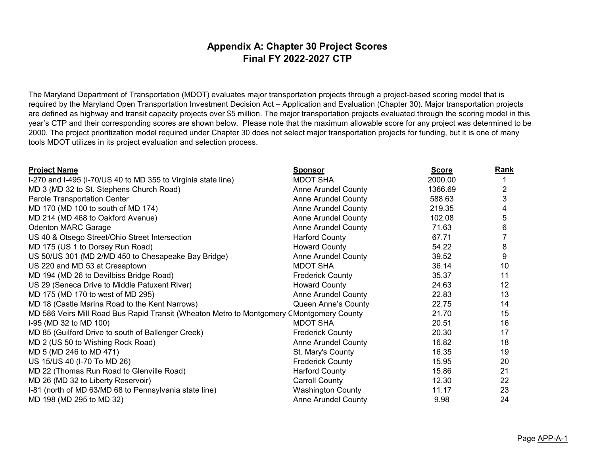## **Appendix A: Chapter 30 Project Scores Final FY 2022-2027 CTP**

The Maryland Department of Transportation (MDOT) evaluates major transportation projects through a project-based scoring model that is required by the Maryland Open Transportation Investment Decision Act – Application and Evaluation (Chapter 30). Major transportation projects are defined as highway and transit capacity projects over \$5 million. The major transportation projects evaluated through the scoring model in this year's CTP and their corresponding scores are shown below. Please note that the maximum allowable score for any project was determined to be 2000. The project prioritization model required under Chapter 30 does not select major transportation projects for funding, but it is one of many tools MDOT utilizes in its project evaluation and selection process.

| <b>Project Name</b>                                                                       | <u>Sponsor</u>             | <b>Score</b> | <b>Rank</b> |
|-------------------------------------------------------------------------------------------|----------------------------|--------------|-------------|
| I-270 and I-495 (I-70/US 40 to MD 355 to Virginia state line)                             | <b>MDOT SHA</b>            | 2000.00      |             |
| MD 3 (MD 32 to St. Stephens Church Road)                                                  | <b>Anne Arundel County</b> | 1366.69      | 2           |
| Parole Transportation Center                                                              | <b>Anne Arundel County</b> | 588.63       | 3           |
| MD 170 (MD 100 to south of MD 174)                                                        | <b>Anne Arundel County</b> | 219.35       | 4           |
| MD 214 (MD 468 to Oakford Avenue)                                                         | <b>Anne Arundel County</b> | 102.08       | 5           |
| <b>Odenton MARC Garage</b>                                                                | <b>Anne Arundel County</b> | 71.63        | 6           |
| US 40 & Otsego Street/Ohio Street Intersection                                            | <b>Harford County</b>      | 67.71        |             |
| MD 175 (US 1 to Dorsey Run Road)                                                          | <b>Howard County</b>       | 54.22        | 8           |
| US 50/US 301 (MD 2/MD 450 to Chesapeake Bay Bridge)                                       | <b>Anne Arundel County</b> | 39.52        | 9           |
| US 220 and MD 53 at Cresaptown                                                            | <b>MDOT SHA</b>            | 36.14        | 10          |
| MD 194 (MD 26 to Devilbiss Bridge Road)                                                   | <b>Frederick County</b>    | 35.37        | 11          |
| US 29 (Seneca Drive to Middle Patuxent River)                                             | <b>Howard County</b>       | 24.63        | 12          |
| MD 175 (MD 170 to west of MD 295)                                                         | <b>Anne Arundel County</b> | 22.83        | 13          |
| MD 18 (Castle Marina Road to the Kent Narrows)                                            | Queen Anne's County        | 22.75        | 14          |
| MD 586 Veirs Mill Road Bus Rapid Transit (Wheaton Metro to Montgomery C Montgomery County |                            | 21.70        | 15          |
| I-95 (MD 32 to MD 100)                                                                    | <b>MDOT SHA</b>            | 20.51        | 16          |
| MD 85 (Guilford Drive to south of Ballenger Creek)                                        | <b>Frederick County</b>    | 20.30        | 17          |
| MD 2 (US 50 to Wishing Rock Road)                                                         | <b>Anne Arundel County</b> | 16.82        | 18          |
| MD 5 (MD 246 to MD 471)                                                                   | St. Mary's County          | 16.35        | 19          |
| US 15/US 40 (I-70 To MD 26)                                                               | <b>Frederick County</b>    | 15.95        | 20          |
| MD 22 (Thomas Run Road to Glenville Road)                                                 | Harford County             | 15.86        | 21          |
| MD 26 (MD 32 to Liberty Reservoir)                                                        | <b>Carroll County</b>      | 12.30        | 22          |
| I-81 (north of MD 63/MD 68 to Pennsylvania state line)                                    | <b>Washington County</b>   | 11.17        | 23          |
| MD 198 (MD 295 to MD 32)                                                                  | <b>Anne Arundel County</b> | 9.98         | 24          |